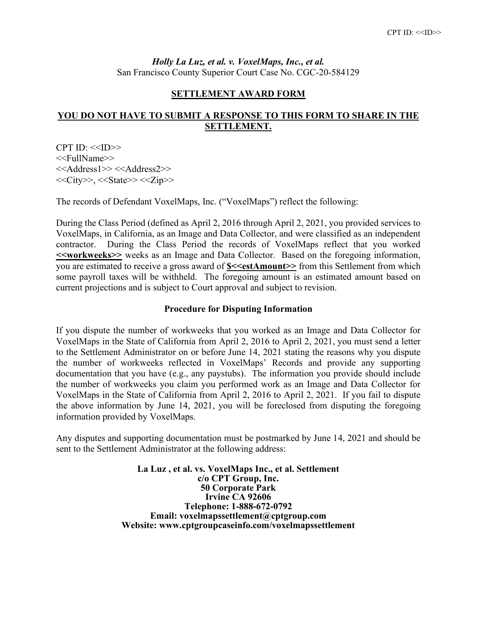*Holly La Luz, et al. v. VoxelMaps, Inc., et al.* San Francisco County Superior Court Case No. CGC-20-584129

## **SETTLEMENT AWARD FORM**

## **YOU DO NOT HAVE TO SUBMIT A RESPONSE TO THIS FORM TO SHARE IN THE SETTLEMENT.**

 $CPT ID: <>$ <<FullName>> <<Address1>> <<Address2>>  $<<$ City>>,  $<<$ State>> $<<$ Zip>>

The records of Defendant VoxelMaps, Inc. ("VoxelMaps") reflect the following:

During the Class Period (defined as April 2, 2016 through April 2, 2021, you provided services to VoxelMaps, in California, as an Image and Data Collector, and were classified as an independent contractor. During the Class Period the records of VoxelMaps reflect that you worked **<<workweeks>>** weeks as an Image and Data Collector. Based on the foregoing information, you are estimated to receive a gross award of **\$<<estAmount>>** from this Settlement from which some payroll taxes will be withheld. The foregoing amount is an estimated amount based on current projections and is subject to Court approval and subject to revision.

## **Procedure for Disputing Information**

If you dispute the number of workweeks that you worked as an Image and Data Collector for VoxelMaps in the State of California from April 2, 2016 to April 2, 2021, you must send a letter to the Settlement Administrator on or before June 14, 2021 stating the reasons why you dispute the number of workweeks reflected in VoxelMaps' Records and provide any supporting documentation that you have (e.g., any paystubs). The information you provide should include the number of workweeks you claim you performed work as an Image and Data Collector for VoxelMaps in the State of California from April 2, 2016 to April 2, 2021. If you fail to dispute the above information by June 14, 2021, you will be foreclosed from disputing the foregoing information provided by VoxelMaps.

Any disputes and supporting documentation must be postmarked by June 14, 2021 and should be sent to the Settlement Administrator at the following address:

> **La Luz , et al. vs. VoxelMaps Inc., et al. Settlement c/o CPT Group, Inc. 50 Corporate Park Irvine CA 92606 Telephone: 1-888-672-0792 Email: voxelmapssettlement@cptgroup.com Website: www.cptgroupcaseinfo.com/voxelmapssettlement**